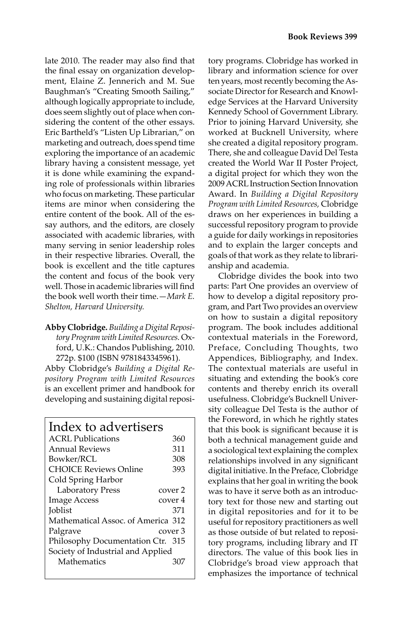late 2010. The reader may also find that the final essay on organization development, Elaine Z. Jennerich and M. Sue Baughman's "Creating Smooth Sailing," although logically appropriate to include, does seem slightly out of place when considering the content of the other essays. Eric Bartheld's "Listen Up Librarian," on marketing and outreach, does spend time exploring the importance of an academic library having a consistent message, yet it is done while examining the expanding role of professionals within libraries who focus on marketing. These particular items are minor when considering the entire content of the book. All of the essay authors, and the editors, are closely associated with academic libraries, with many serving in senior leadership roles in their respective libraries. Overall, the book is excellent and the title captures the content and focus of the book very well. Those in academic libraries will find the book well worth their time.—*Mark E. Shelton, Harvard University.*

**Abby Clobridge.** *Building a Digital Repository Program with Limited Resources.* Oxford, U.K.: Chandos Publishing, 2010. 272p. \$100 (ISBN 9781843345961).

Abby Clobridge's *Building a Digital Repository Program with Limited Resources*  is an excellent primer and handbook for developing and sustaining digital reposi-

| Index to advertisers               |         |
|------------------------------------|---------|
| ACRL Publications                  | 360     |
| <b>Annual Reviews</b>              | 311     |
| Bowker/RCL                         | 308     |
| <b>CHOICE Reviews Online</b>       | 393     |
| Cold Spring Harbor                 |         |
| <b>Laboratory Press</b>            | cover 2 |
| <b>Image Access</b>                | cover 4 |
| <b>Joblist</b>                     | 371     |
| Mathematical Assoc, of America 312 |         |
| Palgrave                           | cover 3 |
| Philosophy Documentation Ctr. 315  |         |
| Society of Industrial and Applied  |         |
| Mathematics                        | 307     |
|                                    |         |

tory programs. Clobridge has worked in library and information science for over ten years, most recently becoming the Associate Director for Research and Knowledge Services at the Harvard University Kennedy School of Government Library. Prior to joining Harvard University, she worked at Bucknell University, where she created a digital repository program. There, she and colleague David Del Testa created the World War II Poster Project, a digital project for which they won the 2009 ACRL Instruction Section Innovation Award. In *Building a Digital Repository Program with Limited Resources,* Clobridge draws on her experiences in building a successful repository program to provide a guide for daily workings in repositories and to explain the larger concepts and goals of that work as they relate to librarianship and academia.

Clobridge divides the book into two parts: Part One provides an overview of how to develop a digital repository program, and Part Two provides an overview on how to sustain a digital repository program. The book includes additional contextual materials in the Foreword, Preface, Concluding Thoughts, two Appendices, Bibliography, and Index. The contextual materials are useful in situating and extending the book's core contents and thereby enrich its overall usefulness. Clobridge's Bucknell University colleague Del Testa is the author of the Foreword, in which he rightly states that this book is significant because it is both a technical management guide and a sociological text explaining the complex relationships involved in any significant digital initiative. In the Preface, Clobridge explains that her goal in writing the book was to have it serve both as an introductory text for those new and starting out in digital repositories and for it to be useful for repository practitioners as well as those outside of but related to repository programs, including library and IT directors. The value of this book lies in Clobridge's broad view approach that emphasizes the importance of technical